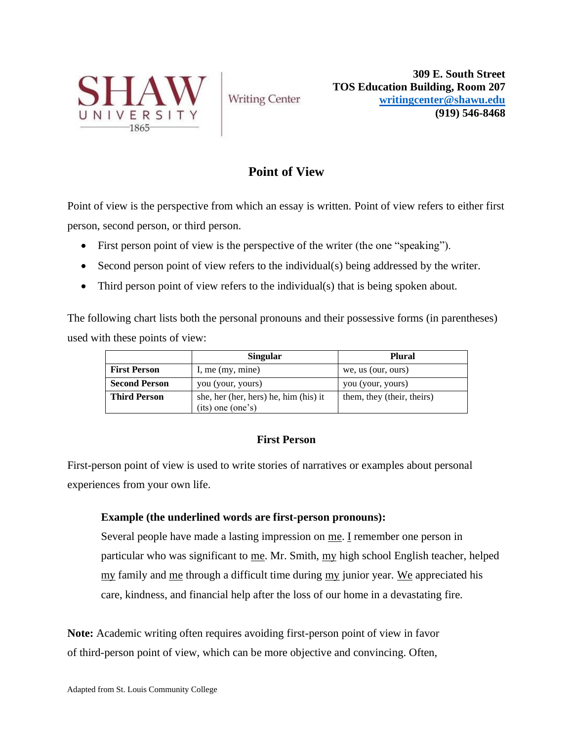

**Writing Center** 

**309 E. South Street TOS Education Building, Room 207 [writingcenter@shawu.edu](mailto:writingcenter@shawu.edu) (919) 546-8468**

# **Point of View**

Point of view is the perspective from which an essay is written. Point of view refers to either first person, second person, or third person.

- First person point of view is the perspective of the writer (the one "speaking").
- Second person point of view refers to the individual(s) being addressed by the writer.
- Third person point of view refers to the individual(s) that is being spoken about.

The following chart lists both the personal pronouns and their possessive forms (in parentheses) used with these points of view:

|                      | <b>Singular</b>                                            | <b>Plural</b>              |
|----------------------|------------------------------------------------------------|----------------------------|
| <b>First Person</b>  | I, me $(my, mine)$                                         | we, us (our, ours)         |
| <b>Second Person</b> | you (your, yours)                                          | you (your, yours)          |
| <b>Third Person</b>  | she, her (her, hers) he, him (his) it<br>(its) one (one's) | them, they (their, theirs) |

## **First Person**

First-person point of view is used to write stories of narratives or examples about personal experiences from your own life.

### **Example (the underlined words are first-person pronouns):**

Several people have made a lasting impression on me. I remember one person in particular who was significant to me. Mr. Smith, my high school English teacher, helped my family and me through a difficult time during my junior year. We appreciated his care, kindness, and financial help after the loss of our home in a devastating fire.

**Note:** Academic writing often requires avoiding first-person point of view in favor of third-person point of view, which can be more objective and convincing. Often,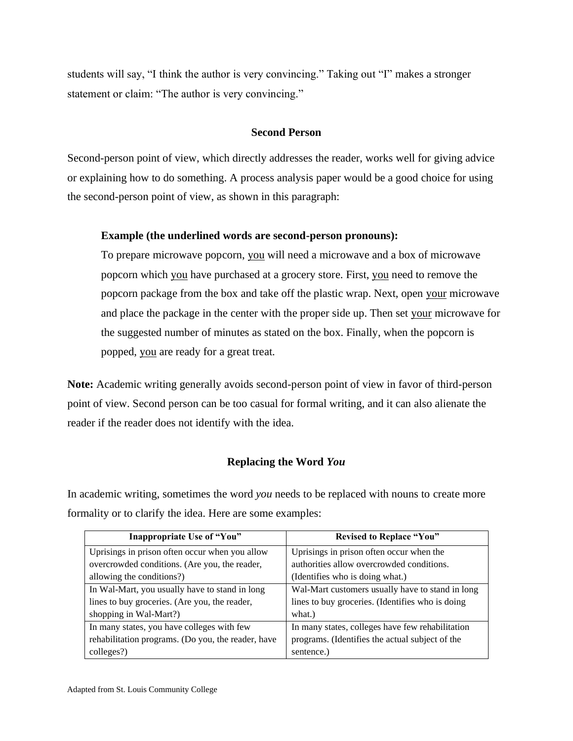students will say, "I think the author is very convincing." Taking out "I" makes a stronger statement or claim: "The author is very convincing."

#### **Second Person**

Second-person point of view, which directly addresses the reader, works well for giving advice or explaining how to do something. A process analysis paper would be a good choice for using the second-person point of view, as shown in this paragraph:

#### **Example (the underlined words are second-person pronouns):**

To prepare microwave popcorn, you will need a microwave and a box of microwave popcorn which you have purchased at a grocery store. First, you need to remove the popcorn package from the box and take off the plastic wrap. Next, open your microwave and place the package in the center with the proper side up. Then set your microwave for the suggested number of minutes as stated on the box. Finally, when the popcorn is popped, you are ready for a great treat.

**Note:** Academic writing generally avoids second-person point of view in favor of third-person point of view. Second person can be too casual for formal writing, and it can also alienate the reader if the reader does not identify with the idea.

### **Replacing the Word** *You*

In academic writing, sometimes the word *you* needs to be replaced with nouns to create more formality or to clarify the idea. Here are some examples:

| Inappropriate Use of "You"                         | <b>Revised to Replace "You"</b>                  |  |
|----------------------------------------------------|--------------------------------------------------|--|
| Uprisings in prison often occur when you allow     | Uprisings in prison often occur when the         |  |
| overcrowded conditions. (Are you, the reader,      | authorities allow overcrowded conditions.        |  |
| allowing the conditions?)                          | (Identifies who is doing what.)                  |  |
| In Wal-Mart, you usually have to stand in long     | Wal-Mart customers usually have to stand in long |  |
| lines to buy groceries. (Are you, the reader,      | lines to buy groceries. (Identifies who is doing |  |
| shopping in Wal-Mart?)                             | what.)                                           |  |
| In many states, you have colleges with few         | In many states, colleges have few rehabilitation |  |
| rehabilitation programs. (Do you, the reader, have | programs. (Identifies the actual subject of the  |  |
| colleges?)                                         | sentence.)                                       |  |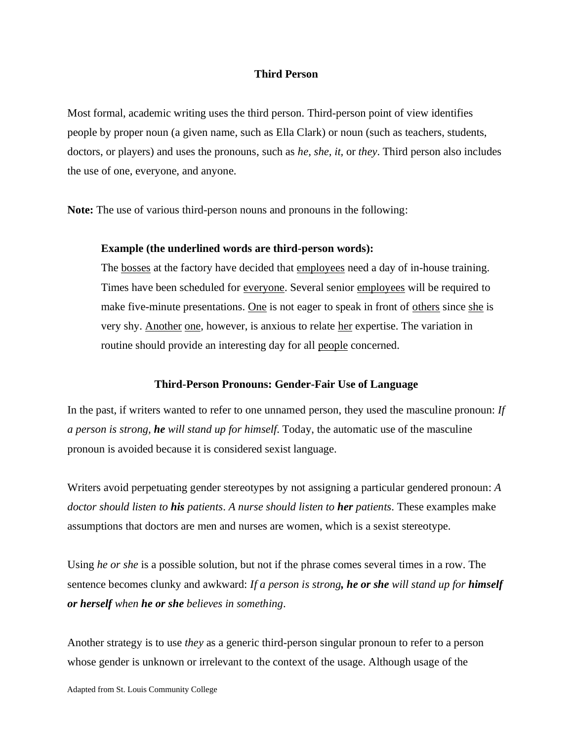#### **Third Person**

Most formal, academic writing uses the third person. Third-person point of view identifies people by proper noun (a given name, such as Ella Clark) or noun (such as teachers, students, doctors, or players) and uses the pronouns, such as *he, she, it,* or *they*. Third person also includes the use of one, everyone, and anyone.

**Note:** The use of various third-person nouns and pronouns in the following:

#### **Example (the underlined words are third-person words):**

The bosses at the factory have decided that employees need a day of in-house training. Times have been scheduled for everyone. Several senior employees will be required to make five-minute presentations. One is not eager to speak in front of others since she is very shy. Another one, however, is anxious to relate her expertise. The variation in routine should provide an interesting day for all people concerned.

#### **Third-Person Pronouns: Gender-Fair Use of Language**

In the past, if writers wanted to refer to one unnamed person, they used the masculine pronoun: *If a person is strong, he will stand up for himself*. Today, the automatic use of the masculine pronoun is avoided because it is considered sexist language.

Writers avoid perpetuating gender stereotypes by not assigning a particular gendered pronoun: *A doctor should listen to his patients*. *A nurse should listen to her patients*. These examples make assumptions that doctors are men and nurses are women, which is a sexist stereotype.

Using *he or she* is a possible solution, but not if the phrase comes several times in a row. The sentence becomes clunky and awkward: *If a person is strong, he or she will stand up for himself or herself when he or she believes in something*.

Another strategy is to use *they* as a generic third-person singular pronoun to refer to a person whose gender is unknown or irrelevant to the context of the usage. Although usage of the